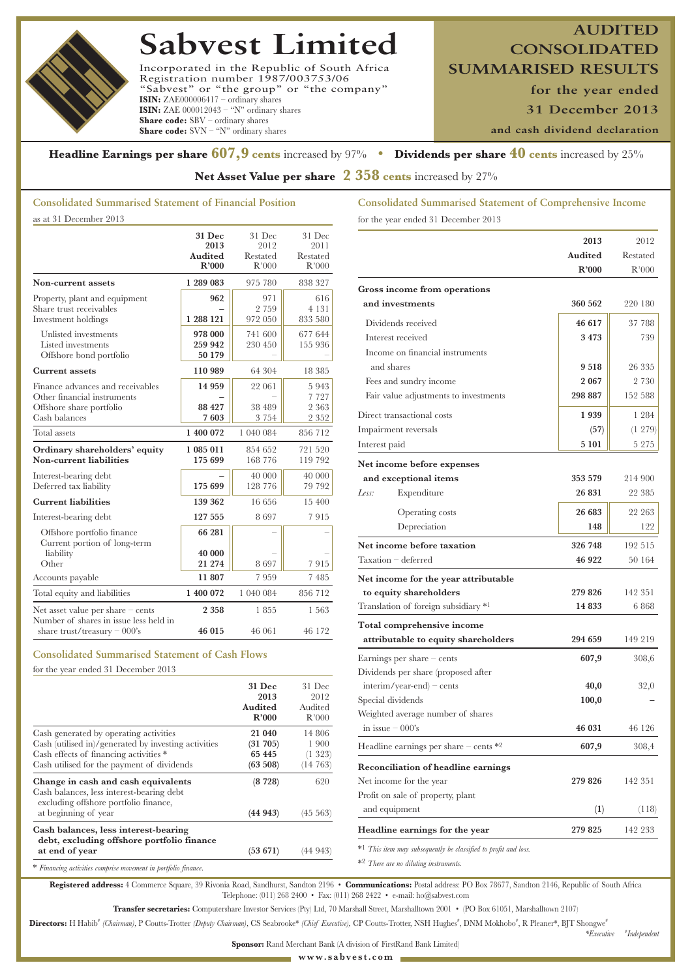# **Sabvest Limited**

Incorporated in the Republic of South Africa Registration number 1987/003753/06 "Sabvest" or "the group" or "the company" **ISIN:** ZAE000006417 – ordinary shares **ISIN:** ZAE 000012043 – "N" ordinary shares **Share code:** SBV – ordinary shares **Share code:** SVN – "N" ordinary shares

**CONSOLIDATED SUMMARISED RESULTS**

**for the year ended**

**AUDITED**

**31 December 2013**

**and cash dividend declaration**

## **Headline Earnings per share 607,9 cents** increased by 97% **• Dividends per share 40 cents** increased by 25%

**Net Asset Value per share 2 358 cents** increased by 27%

## **Consolidated Summarised Statement of Financial Position**

as at 31 December 2013

|                                                                                                                 | 31 Dec<br>2013<br>Audited<br>R'000 | 31 Dec<br>2012<br>Restated<br>R'000 | 31 Dec<br>2011<br>Restated<br>R'000   |
|-----------------------------------------------------------------------------------------------------------------|------------------------------------|-------------------------------------|---------------------------------------|
| Non-current assets                                                                                              | 1 289 083                          | 975 780                             | 838 327                               |
| Property, plant and equipment<br>Share trust receivables<br>Investment holdings                                 | 962<br>1 288 121                   | 971<br>2 7 5 9<br>972 050           | 616<br>4 1 3 1<br>833 580             |
| Unlisted investments<br>Listed investments<br>Offshore bond portfolio                                           | 978 000<br>259 942<br>50 179       | 741 600<br>230 450                  | 677 644<br>155 936                    |
| <b>Current assets</b>                                                                                           | 110 989                            | 64 304                              | 18 385                                |
| Finance advances and receivables<br>Other financial instruments<br>Offshore share portfolio<br>Cash balances    | 14 9 59<br>88 427<br>7603          | 22 061<br>38 489<br>3 7 5 4         | 5943<br>7 7 2 7<br>2 3 6 3<br>2 3 5 2 |
| Total assets                                                                                                    | 1 400 072                          | 1 040 084                           | 856 712                               |
| Ordinary shareholders' equity<br>Non-current liabilities                                                        | 1 085 011<br>175 699               | 854 652<br>168 776                  | 721 520<br>119 792                    |
| Interest-bearing debt<br>Deferred tax liability                                                                 | 175 699                            | 40 000<br>128 776                   | 40 000<br>79 792                      |
| <b>Current liabilities</b>                                                                                      | 139 362                            | 16 656                              | 15 400                                |
| Interest-bearing debt                                                                                           | 127 555                            | 8697                                | 7915                                  |
| Offshore portfolio finance<br>Current portion of long-term<br>liability                                         | 66 281<br>40 000                   |                                     |                                       |
| Other                                                                                                           | 21 274                             | 8697                                | 7915                                  |
| Accounts payable                                                                                                | 11 807                             | 7959                                | 7485                                  |
| Total equity and liabilities                                                                                    | 1 400 072                          | 1 040 084                           | 856 712                               |
| Net asset value per share $-$ cents<br>Number of shares in issue less held in<br>share trust/treasury $-000$ 's | 2 358<br>46 015                    | 1855<br>46 061                      | 1563<br>46 172                        |

## **Consolidated Summarised Statement of Cash Flows**

for the year ended 31 December 2013

|                                                                                                                                              | 31 Dec<br>2013<br>Audited<br>R'000 | 31 Dec<br>2012<br>Audited<br>R'000 |
|----------------------------------------------------------------------------------------------------------------------------------------------|------------------------------------|------------------------------------|
| Cash generated by operating activities                                                                                                       | 21 040                             | 14 806                             |
| Cash (utilised in)/generated by investing activities<br>Cash effects of financing activities *<br>Cash utilised for the payment of dividends | (31 705)<br>65 445<br>(63 508)     | 1900<br>(1323)<br>(14763)          |
| Change in cash and cash equivalents<br>Cash balances, less interest-bearing debt<br>excluding offshore portfolio finance,                    | (8728)                             | 620                                |
| at beginning of year                                                                                                                         | (44943)                            | (45 563)                           |
| Cash balances, less interest-bearing<br>debt, excluding offshore portfolio finance                                                           |                                    |                                    |
| at end of year                                                                                                                               | $(53\;671)$                        | (44 943)                           |
| * Financing activities comprise movement in portfolio finance.                                                                               |                                    |                                    |

**Consolidated Summarised Statement of Comprehensive Income** for the year ended 31 December 2013

|                                                                             | 2013    | 2012       |
|-----------------------------------------------------------------------------|---------|------------|
|                                                                             | Audited | Restated   |
|                                                                             | R'000   | R'000      |
| Gross income from operations                                                |         |            |
| and investments                                                             | 360 562 | 220 180    |
| Dividends received                                                          | 46 617  | 37 788     |
| Interest received                                                           | 3473    | 739        |
| Income on financial instruments                                             |         |            |
| and shares                                                                  | 9518    | 26 335     |
| Fees and sundry income                                                      | 2 067   | 2 730      |
| Fair value adjustments to investments                                       | 298 887 | 152 588    |
| Direct transactional costs                                                  | 1939    | 1 284      |
| Impairment reversals                                                        | (57)    | $(1\;279)$ |
| Interest paid                                                               | 5 101   | 5 275      |
| Net income before expenses                                                  |         |            |
| and exceptional items                                                       | 353 579 | 214 900    |
| Less:<br>Expenditure                                                        | 26 831  | 22 385     |
| Operating costs                                                             | 26 683  | 22 263     |
| Depreciation                                                                | 148     | 122        |
| Net income before taxation                                                  | 326 748 | 192 515    |
| Taxation - deferred                                                         | 46 922  | 50 164     |
| Net income for the year attributable                                        |         |            |
| to equity shareholders                                                      | 279 826 | 142 351    |
| Translation of foreign subsidiary *1                                        | 14 8 33 | 6868       |
| Total comprehensive income                                                  |         |            |
| attributable to equity shareholders                                         | 294 659 | 149 219    |
| Earnings per share $-$ cents                                                | 607,9   | 308,6      |
| Dividends per share (proposed after                                         |         |            |
| $interim/year-end$ – cents                                                  | 40,0    | 32,0       |
| Special dividends                                                           | 100,0   |            |
| Weighted average number of shares                                           |         |            |
| in issue $-000$ 's                                                          | 46 031  | 46 126     |
| Headline earnings per share $-$ cents $*2$                                  | 607,9   | 308,4      |
| <b>Reconciliation of headline earnings</b>                                  |         |            |
| Net income for the year                                                     | 279 826 | 142 351    |
| Profit on sale of property, plant                                           |         |            |
| and equipment                                                               | (1)     | (118)      |
| Headline earnings for the year                                              | 279 825 | 142 233    |
| * <sup>1</sup> This item may subsequently be classified to profit and loss. |         |            |

\*2 *There are no diluting instruments.*

**Registered address:** 4 Commerce Square, 39 Rivonia Road, Sandhurst, Sandton 2196 • **Communications:** Postal address: PO Box 78677, Sandton 2146, Republic of South Africa Telephone: (011) 268 2400 • Fax: (011) 268 2422 • e-mail: ho@sabvest.com

**Transfer secretaries:** Computershare Investor Services (Pty) Ltd, 70 Marshall Street, Marshalltown 2001 • (PO Box 61051, Marshalltown 2107)

Directors: H Habib<sup>\*</sup> (Chairman), P Coutts-Trotter (Deputy Chairman), CS Seabrooke\* (Chief Executive), CP Coutts-Trotter, NSH Hughes<sup>\*</sup>, DNM Mokhobo<sup>\*</sup>, R Pleaner\*, BJT Shongwe\*

*\*Executive* **#** *Independent*